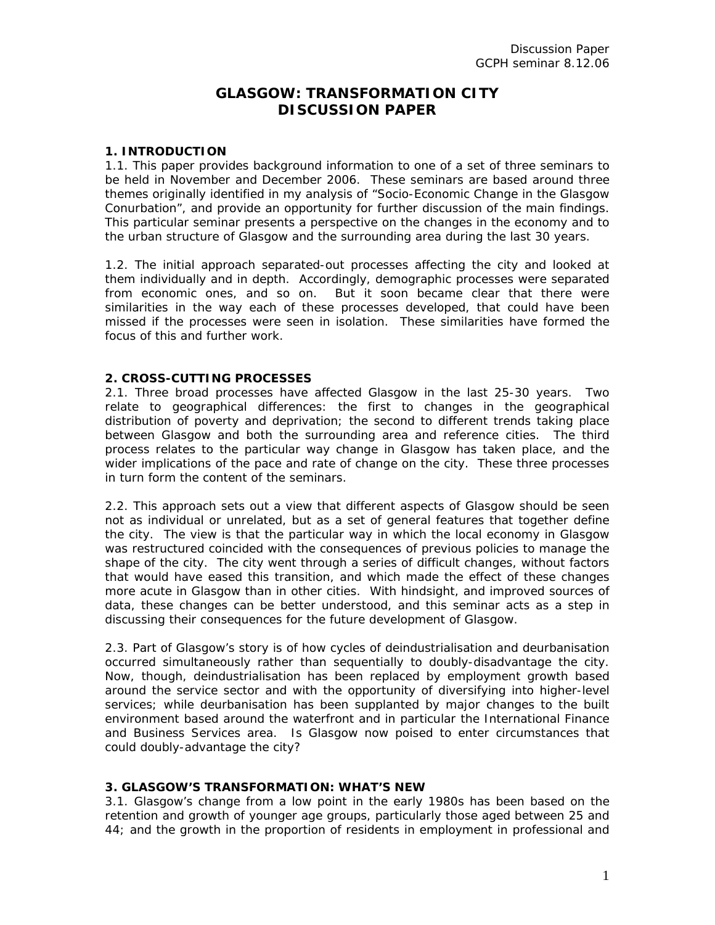# **GLASGOW: TRANSFORMATION CITY DISCUSSION PAPER**

#### **1. INTRODUCTION**

1.1. This paper provides background information to one of a set of three seminars to be held in November and December 2006. These seminars are based around three themes originally identified in my analysis of "Socio-Economic Change in the Glasgow Conurbation", and provide an opportunity for further discussion of the main findings. This particular seminar presents a perspective on the changes in the economy and to the urban structure of Glasgow and the surrounding area during the last 30 years.

1.2. The initial approach separated-out processes affecting the city and looked at them individually and in depth. Accordingly, demographic processes were separated from economic ones, and so on. But it soon became clear that there were similarities in the way each of these processes developed, that could have been missed if the processes were seen in isolation. These similarities have formed the focus of this and further work.

## **2. CROSS-CUTTING PROCESSES**

2.1. Three broad processes have affected Glasgow in the last 25-30 years. Two relate to geographical differences: the first to changes in the geographical distribution of poverty and deprivation; the second to different trends taking place between Glasgow and both the surrounding area and reference cities. The third process relates to the particular way change in Glasgow has taken place, and the wider implications of the pace and rate of change on the city. These three processes in turn form the content of the seminars.

2.2. This approach sets out a view that different aspects of Glasgow should be seen not as individual or unrelated, but as a set of general features that together define the city. The view is that the particular way in which the local economy in Glasgow was restructured coincided with the consequences of previous policies to manage the shape of the city. The city went through a series of difficult changes, without factors that would have eased this transition, and which made the effect of these changes more acute in Glasgow than in other cities. With hindsight, and improved sources of data, these changes can be better understood, and this seminar acts as a step in discussing their consequences for the future development of Glasgow.

2.3. Part of Glasgow's story is of how cycles of deindustrialisation and deurbanisation occurred simultaneously rather than sequentially to doubly-disadvantage the city. Now, though, deindustrialisation has been replaced by employment growth based around the service sector and with the opportunity of diversifying into higher-level services; while deurbanisation has been supplanted by major changes to the built environment based around the waterfront and in particular the International Finance and Business Services area. Is Glasgow now poised to enter circumstances that could doubly-advantage the city?

#### **3. GLASGOW'S TRANSFORMATION: WHAT'S NEW**

3.1. Glasgow's change from a low point in the early 1980s has been based on the retention and growth of younger age groups, particularly those aged between 25 and 44; and the growth in the proportion of residents in employment in professional and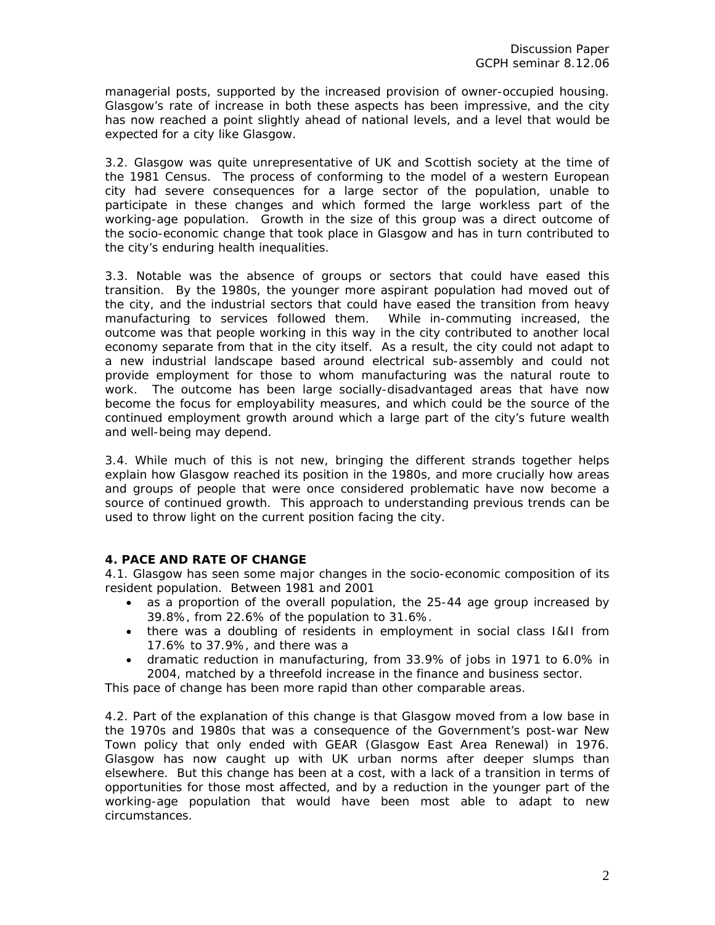managerial posts, supported by the increased provision of owner-occupied housing. Glasgow's rate of increase in both these aspects has been impressive, and the city has now reached a point slightly ahead of national levels, and a level that would be expected for a city like Glasgow.

3.2. Glasgow was quite unrepresentative of UK and Scottish society at the time of the 1981 Census. The process of conforming to the model of a western European city had severe consequences for a large sector of the population, unable to participate in these changes and which formed the large workless part of the working-age population. Growth in the size of this group was a direct outcome of the socio-economic change that took place in Glasgow and has in turn contributed to the city's enduring health inequalities.

3.3. Notable was the absence of groups or sectors that could have eased this transition. By the 1980s, the younger more aspirant population had moved out of the city, and the industrial sectors that could have eased the transition from heavy manufacturing to services followed them. While in-commuting increased, the outcome was that people working in this way in the city contributed to another local economy separate from that in the city itself. As a result, the city could not adapt to a new industrial landscape based around electrical sub-assembly and could not provide employment for those to whom manufacturing was the natural route to work. The outcome has been large socially-disadvantaged areas that have now become the focus for employability measures, and which could be the source of the continued employment growth around which a large part of the city's future wealth and well-being may depend.

3.4. While much of this is not new, bringing the different strands together helps explain how Glasgow reached its position in the 1980s, and more crucially how areas and groups of people that were once considered problematic have now become a source of continued growth. This approach to understanding previous trends can be used to throw light on the current position facing the city.

#### **4. PACE AND RATE OF CHANGE**

4.1. Glasgow has seen some major changes in the socio-economic composition of its resident population. Between 1981 and 2001

- as a proportion of the overall population, the 25-44 age group increased by 39.8%, from 22.6% of the population to 31.6%.
- there was a doubling of residents in employment in social class I&II from 17.6% to 37.9%, and there was a
- dramatic reduction in manufacturing, from 33.9% of jobs in 1971 to 6.0% in 2004, matched by a threefold increase in the finance and business sector.

This pace of change has been more rapid than other comparable areas.

4.2. Part of the explanation of this change is that Glasgow moved from a low base in the 1970s and 1980s that was a consequence of the Government's post-war New Town policy that only ended with GEAR (Glasgow East Area Renewal) in 1976. Glasgow has now caught up with UK urban norms after deeper slumps than elsewhere. But this change has been at a cost, with a lack of a transition in terms of opportunities for those most affected, and by a reduction in the younger part of the working-age population that would have been most able to adapt to new circumstances.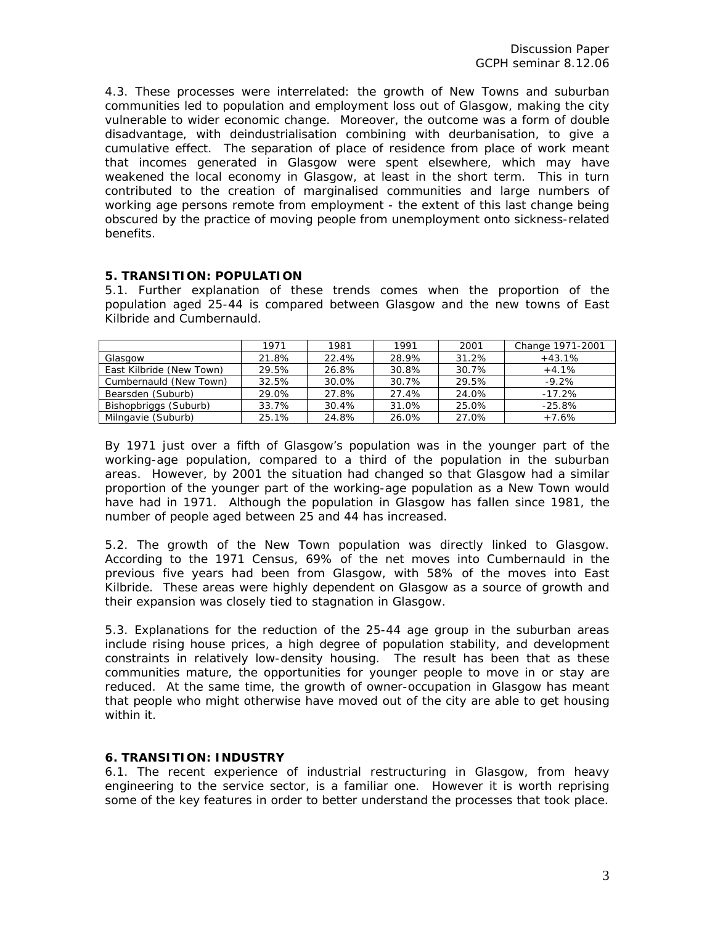4.3. These processes were interrelated: the growth of New Towns and suburban communities led to population and employment loss out of Glasgow, making the city vulnerable to wider economic change. Moreover, the outcome was a form of double disadvantage, with deindustrialisation combining with deurbanisation, to give a cumulative effect. The separation of place of residence from place of work meant that incomes generated in Glasgow were spent elsewhere, which may have weakened the local economy in Glasgow, at least in the short term. This in turn contributed to the creation of marginalised communities and large numbers of working age persons remote from employment - the extent of this last change being obscured by the practice of moving people from unemployment onto sickness-related benefits.

## **5. TRANSITION: POPULATION**

5.1. Further explanation of these trends comes when the proportion of the population aged 25-44 is compared between Glasgow and the new towns of East Kilbride and Cumbernauld.

|                          | 1971  | 1981  | 1991  | 2001  | Change 1971-2001 |
|--------------------------|-------|-------|-------|-------|------------------|
| Glasgow                  | 21.8% | 22.4% | 28.9% | 31.2% | $+43.1%$         |
| East Kilbride (New Town) | 29.5% | 26.8% | 30.8% | 30.7% | $+4.1%$          |
| Cumbernauld (New Town)   | 32.5% | 30.0% | 30.7% | 29.5% | $-9.2%$          |
| Bearsden (Suburb)        | 29.0% | 27.8% | 27.4% | 24.0% | $-17.2\%$        |
| Bishopbriggs (Suburb)    | 33.7% | 30.4% | 31.0% | 25.0% | $-25.8%$         |
| Milngavie (Suburb)       | 25.1% | 24.8% | 26.0% | 27.0% | $+7.6%$          |

By 1971 just over a fifth of Glasgow's population was in the younger part of the working-age population, compared to a third of the population in the suburban areas. However, by 2001 the situation had changed so that Glasgow had a similar proportion of the younger part of the working-age population as a New Town would have had in 1971. Although the population in Glasgow has fallen since 1981, the number of people aged between 25 and 44 has increased.

5.2. The growth of the New Town population was directly linked to Glasgow. According to the 1971 Census, 69% of the net moves into Cumbernauld in the previous five years had been from Glasgow, with 58% of the moves into East Kilbride. These areas were highly dependent on Glasgow as a source of growth and their expansion was closely tied to stagnation in Glasgow.

5.3. Explanations for the reduction of the 25-44 age group in the suburban areas include rising house prices, a high degree of population stability, and development constraints in relatively low-density housing. The result has been that as these communities mature, the opportunities for younger people to move in or stay are reduced. At the same time, the growth of owner-occupation in Glasgow has meant that people who might otherwise have moved out of the city are able to get housing within it.

# **6. TRANSITION: INDUSTRY**

6.1. The recent experience of industrial restructuring in Glasgow, from heavy engineering to the service sector, is a familiar one. However it is worth reprising some of the key features in order to better understand the processes that took place.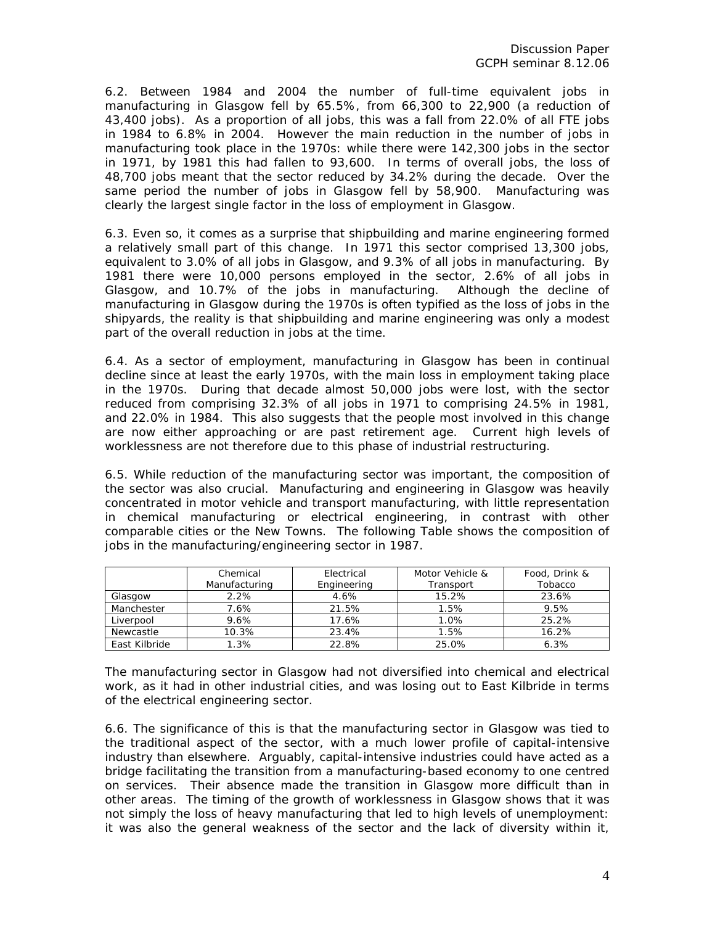6.2. Between 1984 and 2004 the number of full-time equivalent jobs in manufacturing in Glasgow fell by 65.5%, from 66,300 to 22,900 (a reduction of 43,400 jobs). As a proportion of all jobs, this was a fall from 22.0% of all FTE jobs in 1984 to 6.8% in 2004. However the main reduction in the number of jobs in manufacturing took place in the 1970s: while there were 142,300 jobs in the sector in 1971, by 1981 this had fallen to 93,600. In terms of overall jobs, the loss of 48,700 jobs meant that the sector reduced by 34.2% during the decade. Over the same period the number of jobs in Glasgow fell by 58,900. Manufacturing was clearly the largest single factor in the loss of employment in Glasgow.

6.3. Even so, it comes as a surprise that shipbuilding and marine engineering formed a relatively small part of this change. In 1971 this sector comprised 13,300 jobs, equivalent to 3.0% of all jobs in Glasgow, and 9.3% of all jobs in manufacturing. By 1981 there were 10,000 persons employed in the sector, 2.6% of all jobs in Glasgow, and 10.7% of the jobs in manufacturing. Although the decline of manufacturing in Glasgow during the 1970s is often typified as the loss of jobs in the shipyards, the reality is that shipbuilding and marine engineering was only a modest part of the overall reduction in jobs at the time.

6.4. As a sector of employment, manufacturing in Glasgow has been in continual decline since at least the early 1970s, with the main loss in employment taking place in the 1970s. During that decade almost 50,000 jobs were lost, with the sector reduced from comprising 32.3% of all jobs in 1971 to comprising 24.5% in 1981, and 22.0% in 1984. This also suggests that the people most involved in this change are now either approaching or are past retirement age. Current high levels of worklessness are not therefore due to this phase of industrial restructuring.

6.5. While reduction of the manufacturing sector was important, the composition of the sector was also crucial. Manufacturing and engineering in Glasgow was heavily concentrated in motor vehicle and transport manufacturing, with little representation in chemical manufacturing or electrical engineering, in contrast with other comparable cities or the New Towns. The following Table shows the composition of jobs in the manufacturing/engineering sector in 1987.

|               | Chemical      | Electrical  | Motor Vehicle & | Food, Drink & |
|---------------|---------------|-------------|-----------------|---------------|
|               | Manufacturing | Engineering | Transport       | Tobacco       |
| Glasgow       | 2.2%          | 4.6%        | 15.2%           | 23.6%         |
| Manchester    | 7.6%          | 21.5%       | 1.5%            | 9.5%          |
| Liverpool     | 9.6%          | 17.6%       | 1.0%            | 25.2%         |
| Newcastle     | 10.3%         | 23.4%       | 1.5%            | 16.2%         |
| East Kilbride | 1.3%          | 22.8%       | 25.0%           | 6.3%          |

The manufacturing sector in Glasgow had not diversified into chemical and electrical work, as it had in other industrial cities, and was losing out to East Kilbride in terms of the electrical engineering sector.

6.6. The significance of this is that the manufacturing sector in Glasgow was tied to the traditional aspect of the sector, with a much lower profile of capital-intensive industry than elsewhere. Arguably, capital-intensive industries could have acted as a bridge facilitating the transition from a manufacturing-based economy to one centred on services. Their absence made the transition in Glasgow more difficult than in other areas. The timing of the growth of worklessness in Glasgow shows that it was not simply the loss of heavy manufacturing that led to high levels of unemployment: it was also the general weakness of the sector and the lack of diversity within it,